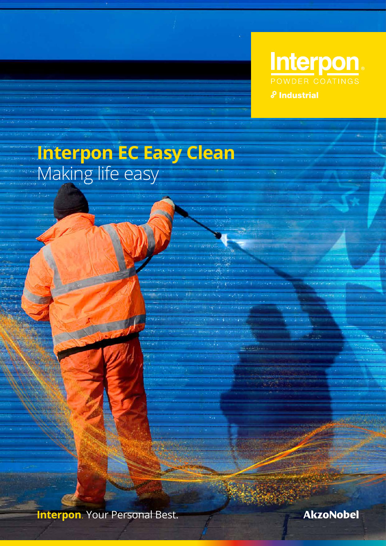

**Interpon EC Easy Clean** Making life easy

**Interpon**. Your Personal Best.

**AkzoNobel**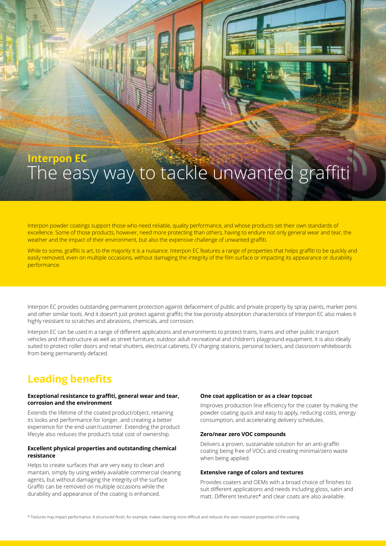# **Interpon EC** The easy way to tackle unwanted graffiti

Interpon powder coatings support those who need reliable, quality performance, and whose products set their own standards of excellence. Some of those products, however, need more protecting than others, having to endure not only general wear and tear, the weather and the impact of their environment, but also the expensive challenge of unwanted graffiti.

While to some, graffiti is art, to the majority it is a nuisance. Interpon EC features a range of properties that helps graffiti to be quickly and easily removed, even on multiple occasions, without damaging the integrity of the film surface or impacting its appearance or durability performance.

Interpon EC provides outstanding permanent protection against defacement of public and private property by spray paints, marker pens and other similar tools. And it doesn't just protect against graffiti; the low porosity-absorption characteristics of Interpon EC also makes it highly resistant to scratches and abrasions, chemicals, and corrosion.

Interpon EC can be used in a range of different applications and environments to protect trains, trams and other public transport vehicles and infrastructure as well as street furniture, outdoor adult recreational and children's playground equipment. It is also ideally suited to protect roller doors and retail shutters, electrical cabinets, EV charging stations, personal lockers, and classroom whiteboards from being permanently defaced.

## **Leading benefits**

#### **Exceptional resistance to graffiti, general wear and tear, corrosion and the environment**

Extends the lifetime of the coated product/object, retaining its looks and performance for longer, and creating a better experience for the end-user/customer. Extending the product lifecyle also reduces the product's total cost of ownership.

#### **Excellent physical properties and outstanding chemical resistance**

Helps to create surfaces that are very easy to clean and maintain, simply by using widely available commercial cleaning agents, but without damaging the integrity of the surface. Graffiti can be removed on multiple occasions while the durability and appearance of the coating is enhanced.

#### **One coat application or as a clear topcoat**

Improves production line efficiency for the coater by making the powder coating quick and easy to apply, reducing costs, energy consumption, and accelerating delivery schedules.

#### **Zero/near zero VOC compounds**

Delivers a proven, sustainable solution for an anti-graffiti coating being free of VOCs and creating minimal/zero waste when being applied.

#### **Extensive range of colors and textures**

Provides coaters and OEMs with a broad choice of finishes to suit different applications and needs including gloss, satin and matt. Different textures\* and clear coats are also available.

\* Textures may impact performance. A structured finish, for example, makes cleaning more difficult and reduces the stain resistant properties of the coating.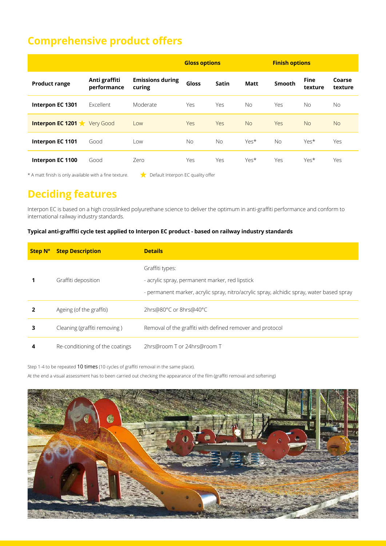## **Comprehensive product offers**

|                      |                              |                                   | <b>Gloss options</b> |              |             | <b>Finish options</b> |                        |                   |
|----------------------|------------------------------|-----------------------------------|----------------------|--------------|-------------|-----------------------|------------------------|-------------------|
| <b>Product range</b> | Anti graffiti<br>performance | <b>Emissions during</b><br>curing | Gloss                | <b>Satin</b> | <b>Matt</b> | <b>Smooth</b>         | <b>Fine</b><br>texture | Coarse<br>texture |
| Interpon EC 1301     | Excellent                    | Moderate                          | Yes                  | Yes          | <b>No</b>   | Yes                   | <b>No</b>              | No.               |
| Interpon EC 1201     | Very Good                    | Low                               | Yes                  | Yes          | <b>No</b>   | <b>Yes</b>            | <b>No</b>              | <b>No</b>         |
| Interpon EC 1101     | Good                         | Low                               | No.                  | <b>No</b>    | Yes*        | <b>No</b>             | Yes*                   | Yes               |
| Interpon EC 1100     | Good                         | Zero                              | Yes                  | Yes          | Yes*        | Yes                   | Yes*                   | Yes               |

\* A matt finish is only available with a fine texture. Default Interpon EC quality offer

## **Deciding features**

Interpon EC is based on a high crosslinked polyurethane science to deliver the optimum in anti-graffiti performance and conform to international railway industry standards.

### **Typical anti-graffiti cycle test applied to Interpon EC product - based on railway industry standards**

| <b>Step N°</b> | <b>Step Description</b>         | <b>Details</b>                                                                                                                                                  |
|----------------|---------------------------------|-----------------------------------------------------------------------------------------------------------------------------------------------------------------|
|                | Graffiti deposition             | Graffiti types:<br>- acrylic spray, permanent marker, red lipstick<br>- permanent marker, acrylic spray, nitro/acrylic spray, alchidic spray, water based spray |
|                | Ageing (of the graffiti)        | 2hrs@80°C or 8hrs@40°C                                                                                                                                          |
| з              | Cleaning (graffiti removing)    | Removal of the graffiti with defined remover and protocol                                                                                                       |
| 4              | Re-conditioning of the coatings | 2hrs@room T or 24hrs@room T                                                                                                                                     |

Step 1-4 to be repeated 10 times (10 cycles of graffiti removal in the same place).

At the end a visual assessment has to been carried out checking the appearance of the film (graffiti removal and softening)